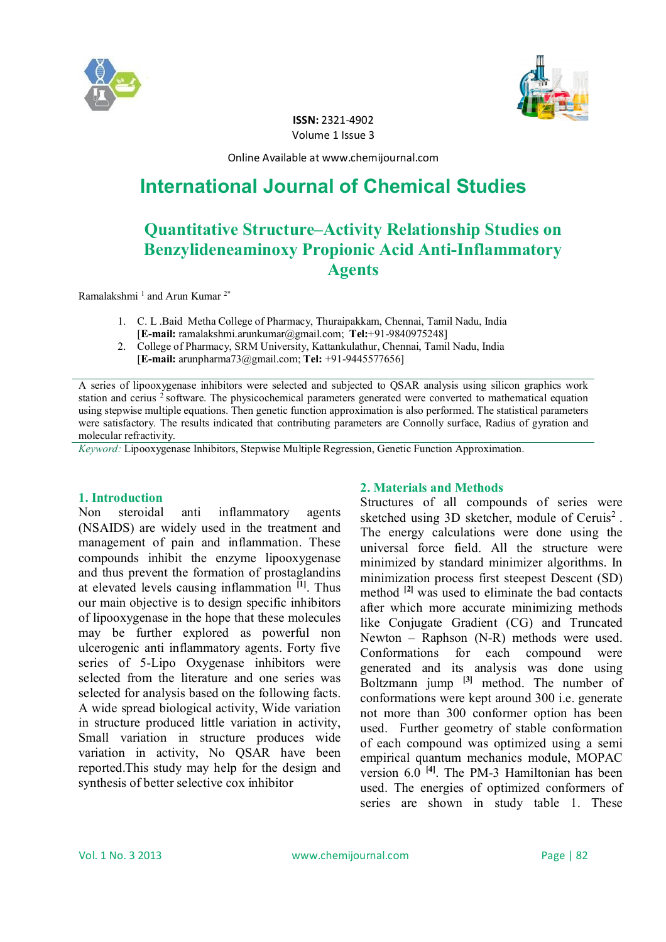



**ISSN:** 2321-4902 Volume 1 Issue 3

Online Available at www.chemijournal.com

# **International Journal of Chemical Studies**

# **Quantitative Structure–Activity Relationship Studies on Benzylideneaminoxy Propionic Acid Anti-Inflammatory Agents**

Ramalakshmi<sup>1</sup> and Arun Kumar<sup>2\*</sup>

- 1. C. L .Baid Metha College of Pharmacy, Thuraipakkam, Chennai, Tamil Nadu, India [**E-mail:** ramalakshmi.arunkumar@gmail.com; **Tel:**+91-9840975248]
- 2. College of Pharmacy, SRM University, Kattankulathur, Chennai, Tamil Nadu, India [**E-mail:** arunpharma73@gmail.com; **Tel:** +91-9445577656]

A series of lipooxygenase inhibitors were selected and subjected to QSAR analysis using silicon graphics work station and cerius <sup>2</sup> software. The physicochemical parameters generated were converted to mathematical equation using stepwise multiple equations. Then genetic function approximation is also performed. The statistical parameters were satisfactory. The results indicated that contributing parameters are Connolly surface, Radius of gyration and molecular refractivity.

*Keyword:* Lipooxygenase Inhibitors, Stepwise Multiple Regression, Genetic Function Approximation.

# **1. Introduction**

Non steroidal anti inflammatory agents (NSAIDS) are widely used in the treatment and management of pain and inflammation. These compounds inhibit the enzyme lipooxygenase and thus prevent the formation of prostaglandins at elevated levels causing inflammation **[1]**. Thus our main objective is to design specific inhibitors of lipooxygenase in the hope that these molecules may be further explored as powerful non ulcerogenic anti inflammatory agents. Forty five series of 5-Lipo Oxygenase inhibitors were selected from the literature and one series was selected for analysis based on the following facts. A wide spread biological activity, Wide variation in structure produced little variation in activity, Small variation in structure produces wide variation in activity, No QSAR have been reported.This study may help for the design and synthesis of better selective cox inhibitor

# **2. Materials and Methods**

Structures of all compounds of series were sketched using 3D sketcher, module of Ceruis<sup>2</sup>. The energy calculations were done using the universal force field. All the structure were minimized by standard minimizer algorithms. In minimization process first steepest Descent (SD) method **[2]** was used to eliminate the bad contacts after which more accurate minimizing methods like Conjugate Gradient (CG) and Truncated Newton – Raphson (N-R) methods were used. Conformations for each compound were generated and its analysis was done using Boltzmann jump **[3]** method. The number of conformations were kept around 300 i.e. generate not more than 300 conformer option has been used. Further geometry of stable conformation of each compound was optimized using a semi empirical quantum mechanics module, MOPAC version 6.0 **[4]**. The PM-3 Hamiltonian has been used. The energies of optimized conformers of series are shown in study table 1. These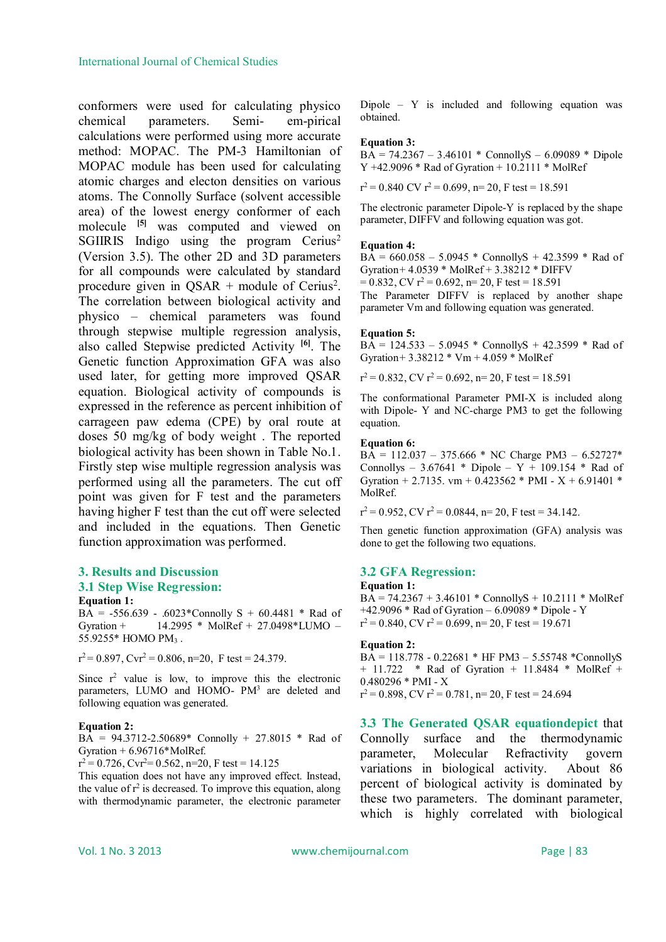conformers were used for calculating physico chemical parameters. Semi- em-pirical calculations were performed using more accurate method: MOPAC. The PM-3 Hamiltonian of MOPAC module has been used for calculating atomic charges and electon densities on various atoms. The Connolly Surface (solvent accessible area) of the lowest energy conformer of each molecule **[5]** was computed and viewed on SGIIRIS Indigo using the program  $Cerius<sup>2</sup>$ (Version 3.5). The other 2D and 3D parameters for all compounds were calculated by standard procedure given in  $\text{QSAR} + \text{module of Cerius}^2$ . The correlation between biological activity and physico – chemical parameters was found through stepwise multiple regression analysis, also called Stepwise predicted Activity **[6]**. The Genetic function Approximation GFA was also used later, for getting more improved QSAR equation. Biological activity of compounds is expressed in the reference as percent inhibition of carrageen paw edema (CPE) by oral route at doses 50 mg/kg of body weight . The reported biological activity has been shown in Table No.1. Firstly step wise multiple regression analysis was performed using all the parameters. The cut off point was given for F test and the parameters having higher F test than the cut off were selected and included in the equations. Then Genetic function approximation was performed.

## **3. Results and Discussion 3.1 Step Wise Regression: Equation 1:**

 $\widehat{BA}$  = -556.639 - .6023\*Connolly S + 60.4481 \* Rad of Gyration + 14.2995 \* MolRef + 27.0498\*LUMO – 55.9255\* HOMO PM<sup>3</sup> .

 $r^2 = 0.897$ , Cvr<sup>2</sup> = 0.806, n=20, F test = 24.379.

Since  $r^2$  value is low, to improve this the electronic parameters, LUMO and HOMO- PM<sup>3</sup> are deleted and following equation was generated.

#### **Equation 2:**

BA = 94.3712-2.50689\* Connolly + 27.8015 \* Rad of Gyration  $+ 6.96716*$  MolRef.

 $r^2 = 0.726$ , Cvr<sup>2</sup>= 0.562, n=20, F test = 14.125

This equation does not have any improved effect. Instead, the value of  $r^2$  is decreased. To improve this equation, along with thermodynamic parameter, the electronic parameter

Dipole –  $Y$  is included and following equation was obtained.

#### **Equation 3:**

 $BA = 74.2367 - 3.46101 * ConnollyS - 6.09089 * Dipole$  $Y +42.9096 * Rad of Gyration + 10.2111 * MolRef$ 

 $r^2 = 0.840$  CV  $r^2 = 0.699$ , n= 20, F test = 18.591

The electronic parameter Dipole-Y is replaced by the shape parameter, DIFFV and following equation was got.

#### **Equation 4:**

 $B\overline{A}$  = 660.058 – 5.0945 \* ConnollyS + 42.3599 \* Rad of Gyration +  $4.0539 * \text{MolRef} + 3.38212 * \text{DIFFV}$  $= 0.832$ , CV  $r^2 = 0.692$ , n= 20, F test = 18.591 The Parameter DIFFV is replaced by another shape parameter Vm and following equation was generated.

#### **Equation 5:**

 $BA = 124.533 - 5.0945 * ConnollyS + 42.3599 * Rad of$ Gyration+ 3.38212 \* Vm + 4.059 \* MolRef

 $r^2 = 0.832$ , CV  $r^2 = 0.692$ , n= 20, F test = 18.591

The conformational Parameter PMI-X is included along with Dipole- Y and NC-charge PM3 to get the following equation.

#### **Equation 6:**

 $BA = 112.037 - 375.666 * NC Charge PM3 - 6.52727*$ Connollys – 3.67641 \* Dipole –  $Y + 109.154$  \* Rad of Gyration + 2.7135. vm + 0.423562 \* PMI - X + 6.91401 \* MolRef.

 $r^2 = 0.952$ , CV  $r^2 = 0.0844$ , n= 20, F test = 34.142.

Then genetic function approximation (GFA) analysis was done to get the following two equations.

### **3.2 GFA Regression:**

#### **Equation 1:**

 $BA = 74.2367 + 3.46101 * ConnollyS + 10.2111 * MolRef$ +42.9096 \* Rad of Gyration – 6.09089 \* Dipole - Y  $r^2 = 0.840$ , CV  $r^2 = 0.699$ , n= 20, F test = 19.671

#### **Equation 2:**

 $BA = 118.778 - 0.22681 * HF PM3 - 5.55748 *ConnollyS$ + 11.722 \* Rad of Gyration + 11.8484 \* MolRef + 0.480296 \* PMI - X  $r^2 = 0.898$ , CV  $r^2 = 0.781$ , n= 20, F test = 24.694

**3.3 The Generated QSAR equationdepict** that Connolly surface and the thermodynamic parameter, Molecular Refractivity govern variations in biological activity. About 86 percent of biological activity is dominated by these two parameters. The dominant parameter, which is highly correlated with biological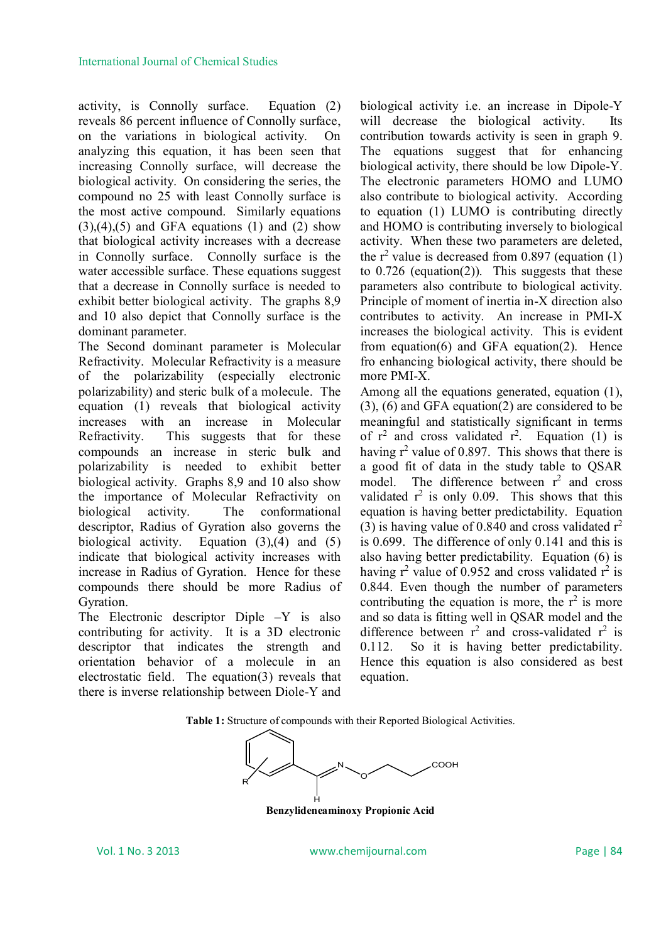activity, is Connolly surface. Equation (2) reveals 86 percent influence of Connolly surface, on the variations in biological activity. On analyzing this equation, it has been seen that increasing Connolly surface, will decrease the biological activity. On considering the series, the compound no 25 with least Connolly surface is the most active compound. Similarly equations  $(3),(4),(5)$  and GFA equations  $(1)$  and  $(2)$  show that biological activity increases with a decrease in Connolly surface. Connolly surface is the water accessible surface. These equations suggest that a decrease in Connolly surface is needed to exhibit better biological activity. The graphs 8,9 and 10 also depict that Connolly surface is the dominant parameter.

The Second dominant parameter is Molecular Refractivity. Molecular Refractivity is a measure of the polarizability (especially electronic polarizability) and steric bulk of a molecule. The equation (1) reveals that biological activity increases with an increase in Molecular Refractivity. This suggests that for these compounds an increase in steric bulk and polarizability is needed to exhibit better biological activity. Graphs 8,9 and 10 also show the importance of Molecular Refractivity on biological activity. The conformational descriptor, Radius of Gyration also governs the biological activity. Equation  $(3),(4)$  and  $(5)$ indicate that biological activity increases with increase in Radius of Gyration. Hence for these compounds there should be more Radius of Gyration.

The Electronic descriptor Diple –Y is also contributing for activity. It is a 3D electronic descriptor that indicates the strength and orientation behavior of a molecule in an electrostatic field. The equation(3) reveals that there is inverse relationship between Diole-Y and

biological activity i.e. an increase in Dipole-Y will decrease the biological activity. Its contribution towards activity is seen in graph 9. The equations suggest that for enhancing biological activity, there should be low Dipole-Y. The electronic parameters HOMO and LUMO also contribute to biological activity. According to equation (1) LUMO is contributing directly and HOMO is contributing inversely to biological activity. When these two parameters are deleted, the  $r^2$  value is decreased from 0.897 (equation  $(1)$ to  $0.726$  (equation(2)). This suggests that these parameters also contribute to biological activity. Principle of moment of inertia in-X direction also contributes to activity. An increase in PMI-X increases the biological activity. This is evident from equation(6) and GFA equation(2). Hence fro enhancing biological activity, there should be more PMI-X.

Among all the equations generated, equation (1), (3), (6) and GFA equation(2) are considered to be meaningful and statistically significant in terms of  $r^2$  and cross validated  $r^2$ . Equation (1) is having  $r^2$  value of 0.897. This shows that there is a good fit of data in the study table to QSAR model. The difference between  $r^2$  and cross validated  $r^2$  is only 0.09. This shows that this equation is having better predictability. Equation (3) is having value of 0.840 and cross validated  $r^2$ is 0.699. The difference of only 0.141 and this is also having better predictability. Equation (6) is having  $r^2$  value of 0.952 and cross validated  $r^2$  is 0.844. Even though the number of parameters contributing the equation is more, the  $r^2$  is more and so data is fitting well in QSAR model and the difference between  $r^2$  and cross-validated  $r^2$  is 0.112. So it is having better predictability. Hence this equation is also considered as best equation.





**Benzylideneaminoxy Propionic Acid**

Vol. 1 No. 3 2013 www.chemijournal.com Page | 84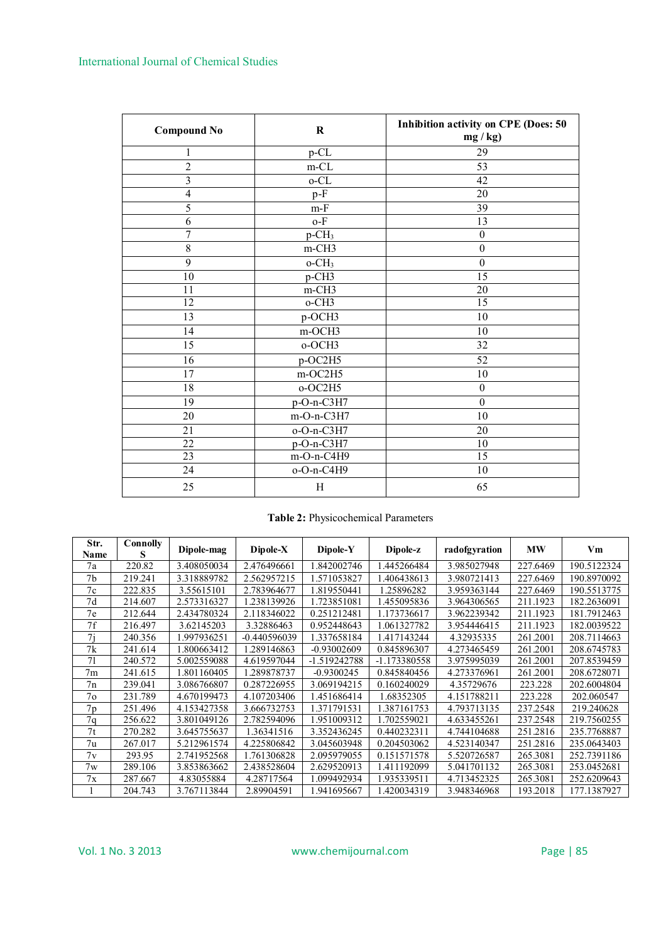# International Journal of Chemical Studies

| <b>Compound No</b>      | $\bf R$              | Inhibition activity on CPE (Does: 50<br>$mg/kg$ ) |  |  |  |
|-------------------------|----------------------|---------------------------------------------------|--|--|--|
| 1                       | p-CL                 | 29                                                |  |  |  |
| $\overline{2}$          | $m$ -CL              | 53                                                |  |  |  |
| $\overline{\mathbf{3}}$ | $o$ -CL              | 42                                                |  |  |  |
| $\overline{4}$          | $p-F$                | 20                                                |  |  |  |
| 5                       | $m-F$                | 39                                                |  |  |  |
| 6                       | $o-F$                | 13                                                |  |  |  |
| 7                       | $p$ -CH <sub>3</sub> | $\boldsymbol{0}$                                  |  |  |  |
| 8                       | m-CH3                | $\boldsymbol{0}$                                  |  |  |  |
| 9                       | $o$ -CH <sub>3</sub> | $\boldsymbol{0}$                                  |  |  |  |
| 10                      | p-CH3                | 15                                                |  |  |  |
| 11                      | m-CH3                | $\overline{20}$                                   |  |  |  |
| 12                      | o-CH3                | $\overline{15}$                                   |  |  |  |
| 13                      | p-OCH3               | 10                                                |  |  |  |
| 14                      | m-OCH3               | 10                                                |  |  |  |
| 15                      | o-OCH3               | 32                                                |  |  |  |
| 16                      | p-OC2H5              | 52                                                |  |  |  |
| 17                      | m-OC2H5              | 10                                                |  |  |  |
| 18                      | o-OC2H5              | $\boldsymbol{0}$                                  |  |  |  |
| 19                      | $p-O-n-C3H7$         | $\boldsymbol{0}$                                  |  |  |  |
| 20                      | m-O-n-C3H7           | 10                                                |  |  |  |
| 21                      | $o-O-n-C3H7$         | 20                                                |  |  |  |
| 22                      | $p-O-n-C3H7$         | 10                                                |  |  |  |
| 23                      | m-O-n-C4H9           | $\overline{15}$                                   |  |  |  |
| 24                      | o-O-n-C4H9           | 10                                                |  |  |  |
| 25                      | H                    | 65                                                |  |  |  |

# **Table 2:** Physicochemical Parameters

| Str.<br><b>Name</b> | Connolly<br>s | Dipole-mag  | $Dipole-X$   | Dipole-Y      | Dipole-z     | radofgyration | <b>MW</b> | Vm          |
|---------------------|---------------|-------------|--------------|---------------|--------------|---------------|-----------|-------------|
| 7a                  | 220.82        | 3.408050034 | 2.476496661  | 1.842002746   | 1.445266484  | 3.985027948   | 227.6469  | 190.5122324 |
| 7 <sub>b</sub>      | 219.241       | 3.318889782 | 2.562957215  | 1.571053827   | 1.406438613  | 3.980721413   | 227.6469  | 190.8970092 |
| 7c                  | 222.835       | 3.55615101  | 2.783964677  | 1.819550441   | 1.25896282   | 3.959363144   | 227.6469  | 190.5513775 |
| 7d                  | 214.607       | 2.573316327 | 1.238139926  | 1.723851081   | .455095836   | 3.964306565   | 211.1923  | 182.2636091 |
| 7e                  | 212.644       | 2.434780324 | 2.118346022  | 0.251212481   | 1.173736617  | 3.962239342   | 211.1923  | 181.7912463 |
| 7f                  | 216.497       | 3.62145203  | 3.32886463   | 0.952448643   | 1.061327782  | 3.954446415   | 211.1923  | 182.0039522 |
| 7i                  | 240.356       | .997936251  | -0.440596039 | 1.337658184   | 1.417143244  | 4.32935335    | 261.2001  | 208.7114663 |
| 7k                  | 241.614       | 1.800663412 | 1.289146863  | $-0.93002609$ | 0.845896307  | 4.273465459   | 261.2001  | 208.6745783 |
| 71                  | 240.572       | 5.002559088 | 4.619597044  | -1.519242788  | -1.173380558 | 3.975995039   | 261.2001  | 207.8539459 |
| 7 <sub>m</sub>      | 241.615       | 1.801160405 | 1.289878737  | $-0.9300245$  | 0.845840456  | 4.273376961   | 261.2001  | 208.6728071 |
| 7n                  | 239.041       | 3.086766807 | 0.287226955  | 3.069194215   | 0.160240029  | 4.35729676    | 223.228   | 202.6004804 |
| 7 <sub>o</sub>      | 231.789       | 4.670199473 | 4.107203406  | 1.451686414   | 1.68352305   | 4.151788211   | 223.228   | 202.060547  |
| 7 <sub>p</sub>      | 251.496       | 4.153427358 | 3.666732753  | 1.371791531   | 1.387161753  | 4.793713135   | 237.2548  | 219.240628  |
| 7 <sub>q</sub>      | 256.622       | 3.801049126 | 2.782594096  | 1.951009312   | 1.702559021  | 4.633455261   | 237.2548  | 219.7560255 |
| 7t                  | 270.282       | 3.645755637 | 1.36341516   | 3.352436245   | 0.440232311  | 4.744104688   | 251.2816  | 235.7768887 |
| 7u                  | 267.017       | 5.212961574 | 4.225806842  | 3.045603948   | 0.204503062  | 4.523140347   | 251.2816  | 235.0643403 |
| 7v                  | 293.95        | 2.741952568 | 1.761306828  | 2.095979055   | 0.151571578  | 5.520726587   | 265.3081  | 252.7391186 |
| 7w                  | 289.106       | 3.853863662 | 2.438528604  | 2.629520913   | 1.411192099  | 5.041701132   | 265.3081  | 253.0452681 |
| 7x                  | 287.667       | 4.83055884  | 4.28717564   | 1.099492934   | 1.935339511  | 4.713452325   | 265.3081  | 252.6209643 |
|                     | 204.743       | 3.767113844 | 2.89904591   | 1.941695667   | 1.420034319  | 3.948346968   | 193.2018  | 177.1387927 |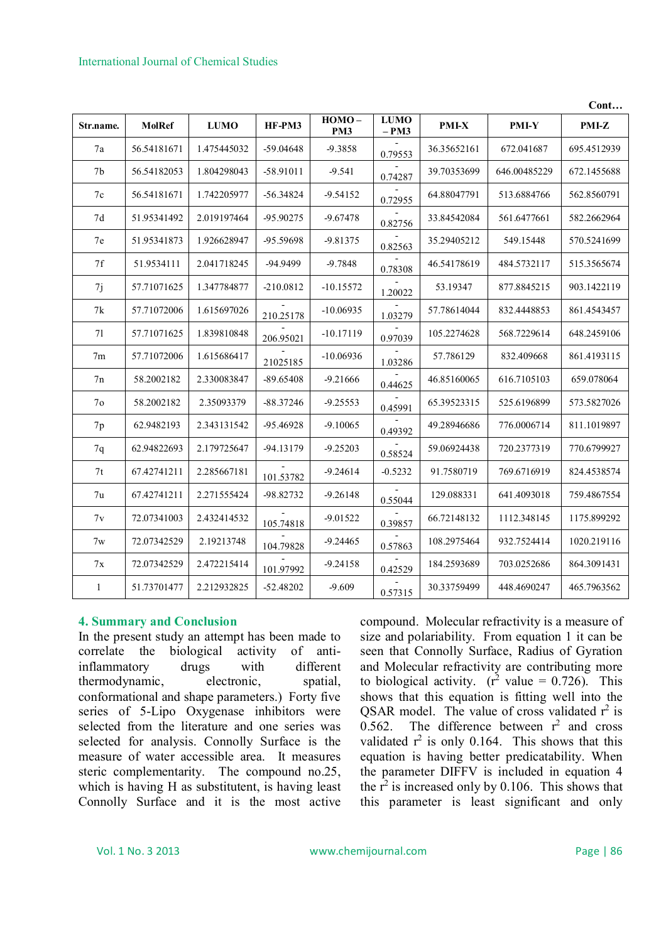|                |               |             |             |                 |                        |              |              | Cont        |
|----------------|---------------|-------------|-------------|-----------------|------------------------|--------------|--------------|-------------|
| Str.name.      | <b>MolRef</b> | <b>LUMO</b> | HF-PM3      | $HOMO -$<br>PM3 | <b>LUMO</b><br>$- PM3$ | <b>PMI-X</b> | PMI-Y        | PMI-Z       |
| 7a             | 56.54181671   | 1.475445032 | -59.04648   | -9.3858         | 0.79553                | 36.35652161  | 672.041687   | 695.4512939 |
| 7b             | 56.54182053   | 1.804298043 | -58.91011   | $-9.541$        | 0.74287                | 39.70353699  | 646.00485229 | 672.1455688 |
| 7c             | 56.54181671   | 1.742205977 | $-56.34824$ | $-9.54152$      | 0.72955                | 64.88047791  | 513.6884766  | 562.8560791 |
| 7d             | 51.95341492   | 2.019197464 | -95.90275   | $-9.67478$      | 0.82756                | 33.84542084  | 561.6477661  | 582.2662964 |
| 7e             | 51.95341873   | 1.926628947 | -95.59698   | $-9.81375$      | 0.82563                | 35.29405212  | 549.15448    | 570.5241699 |
| 7f             | 51.9534111    | 2.041718245 | -94.9499    | $-9.7848$       | 0.78308                | 46.54178619  | 484.5732117  | 515.3565674 |
| 7j             | 57.71071625   | 1.347784877 | $-210.0812$ | $-10.15572$     | 1.20022                | 53.19347     | 877.8845215  | 903.1422119 |
| 7k             | 57.71072006   | 1.615697026 | 210.25178   | $-10.06935$     | 1.03279                | 57.78614044  | 832.4448853  | 861.4543457 |
| 71             | 57.71071625   | 1.839810848 | 206.95021   | $-10.17119$     | 0.97039                | 105.2274628  | 568.7229614  | 648.2459106 |
| 7m             | 57.71072006   | 1.615686417 | 21025185    | $-10.06936$     | 1.03286                | 57.786129    | 832.409668   | 861.4193115 |
| 7n             | 58.2002182    | 2.330083847 | $-89.65408$ | $-9.21666$      | 0.44625                | 46.85160065  | 616.7105103  | 659.078064  |
| 7 <sub>o</sub> | 58.2002182    | 2.35093379  | $-88.37246$ | $-9.25553$      | 0.45991                | 65.39523315  | 525.6196899  | 573.5827026 |
| 7p             | 62.9482193    | 2.343131542 | -95.46928   | $-9.10065$      | 0.49392                | 49.28946686  | 776.0006714  | 811.1019897 |
| 7q             | 62.94822693   | 2.179725647 | $-94.13179$ | $-9.25203$      | 0.58524                | 59.06924438  | 720.2377319  | 770.6799927 |
| 7t             | 67.42741211   | 2.285667181 | 101.53782   | $-9.24614$      | $-0.5232$              | 91.7580719   | 769.6716919  | 824.4538574 |
| 7u             | 67.42741211   | 2.271555424 | -98.82732   | $-9.26148$      | 0.55044                | 129.088331   | 641.4093018  | 759.4867554 |
| 7v             | 72.07341003   | 2.432414532 | 105.74818   | $-9.01522$      | 0.39857                | 66.72148132  | 1112.348145  | 1175.899292 |
| 7w             | 72.07342529   | 2.19213748  | 104.79828   | $-9.24465$      | 0.57863                | 108.2975464  | 932.7524414  | 1020.219116 |
| 7x             | 72.07342529   | 2.472215414 | 101.97992   | $-9.24158$      | 0.42529                | 184.2593689  | 703.0252686  | 864.3091431 |
| 1              | 51.73701477   | 2.212932825 | $-52.48202$ | $-9.609$        | 0.57315                | 30.33759499  | 448.4690247  | 465.7963562 |

# **4. Summary and Conclusion**

In the present study an attempt has been made to correlate the biological activity of antiinflammatory drugs with different thermodynamic, electronic, spatial, conformational and shape parameters.) Forty five series of 5-Lipo Oxygenase inhibitors were selected from the literature and one series was selected for analysis. Connolly Surface is the measure of water accessible area. It measures steric complementarity. The compound no.25, which is having H as substitutent, is having least Connolly Surface and it is the most active

compound. Molecular refractivity is a measure of size and polariability. From equation 1 it can be seen that Connolly Surface, Radius of Gyration and Molecular refractivity are contributing more to biological activity.  $(r^2 \text{ value} = 0.726)$ . This shows that this equation is fitting well into the QSAR model. The value of cross validated  $r^2$  is 0.562. The difference between  $r^2$  and cross validated  $r^2$  is only 0.164. This shows that this equation is having better predicatability. When the parameter DIFFV is included in equation 4 the  $r^2$  is increased only by 0.106. This shows that this parameter is least significant and only